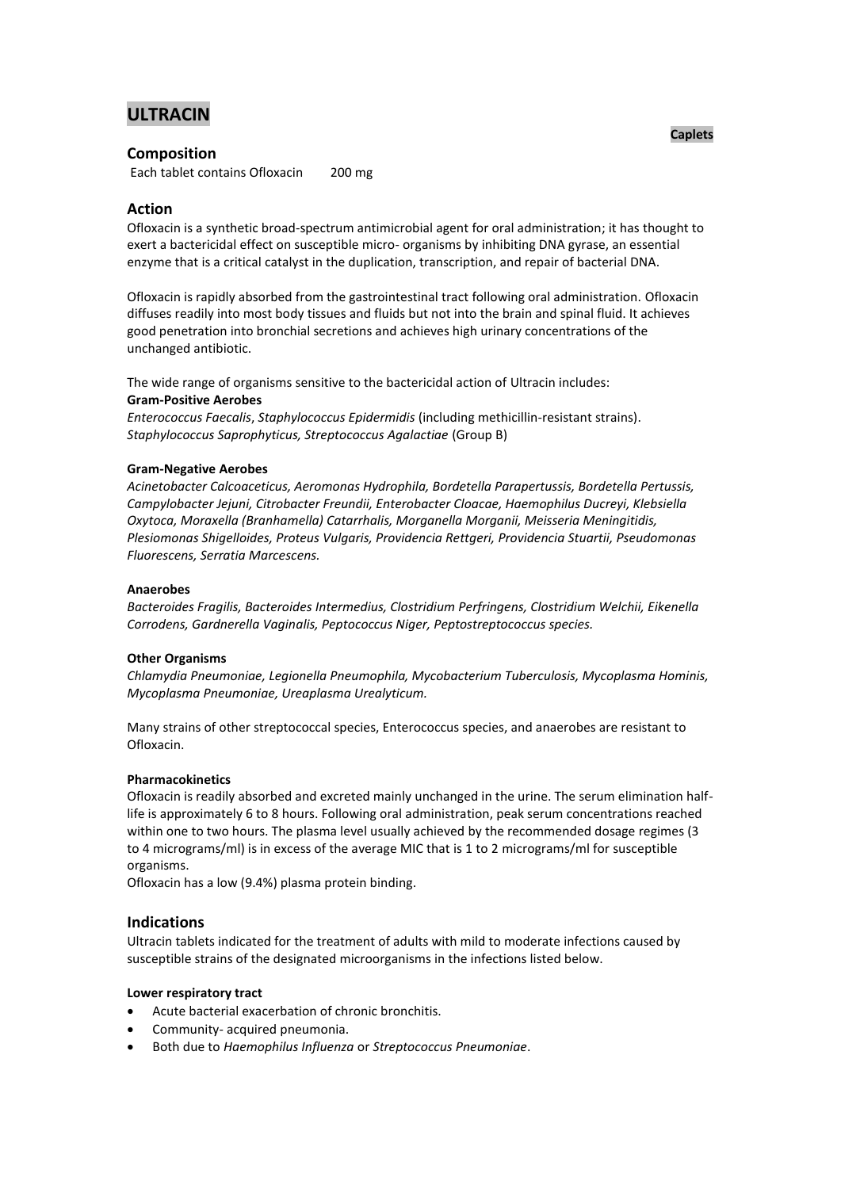# **ULTRACIN**

## **Composition**

Each tablet contains Ofloxacin 200 mg

## **Action**

Ofloxacin is a synthetic broad-spectrum antimicrobial agent for oral administration; it has thought to exert a bactericidal effect on susceptible micro- organisms by inhibiting DNA gyrase, an essential enzyme that is a critical catalyst in the duplication, transcription, and repair of bacterial DNA.

Ofloxacin is rapidly absorbed from the gastrointestinal tract following oral administration. Ofloxacin diffuses readily into most body tissues and fluids but not into the brain and spinal fluid. It achieves good penetration into bronchial secretions and achieves high urinary concentrations of the unchanged antibiotic.

The wide range of organisms sensitive to the bactericidal action of Ultracin includes: **Gram-Positive Aerobes**

*Enterococcus Faecalis*, *Staphylococcus Epidermidis* (including methicillin-resistant strains). *Staphylococcus Saprophyticus, Streptococcus Agalactiae* (Group B)

## **Gram-Negative Aerobes**

*Acinetobacter Calcoaceticus, Aeromonas Hydrophila, Bordetella Parapertussis, Bordetella Pertussis, Campylobacter Jejuni, Citrobacter Freundii, Enterobacter Cloacae, Haemophilus Ducreyi, Klebsiella Oxytoca, Moraxella (Branhamella) Catarrhalis, Morganella Morganii, Meisseria Meningitidis, Plesiomonas Shigelloides, Proteus Vulgaris, Providencia Rettgeri, Providencia Stuartii, Pseudomonas Fluorescens, Serratia Marcescens.*

## **Anaerobes**

*Bacteroides Fragilis, Bacteroides Intermedius, Clostridium Perfringens, Clostridium Welchii, Eikenella Corrodens, Gardnerella Vaginalis, Peptococcus Niger, Peptostreptococcus species.*

## **Other Organisms**

*Chlamydia Pneumoniae, Legionella Pneumophila, Mycobacterium Tuberculosis, Mycoplasma Hominis, Mycoplasma Pneumoniae, Ureaplasma Urealyticum.*

Many strains of other streptococcal species, Enterococcus species, and anaerobes are resistant to Ofloxacin.

### **Pharmacokinetics**

Ofloxacin is readily absorbed and excreted mainly unchanged in the urine. The serum elimination halflife is approximately 6 to 8 hours. Following oral administration, peak serum concentrations reached within one to two hours. The plasma level usually achieved by the recommended dosage regimes (3 to 4 micrograms/ml) is in excess of the average MIC that is 1 to 2 micrograms/ml for susceptible organisms.

Ofloxacin has a low (9.4%) plasma protein binding.

## **Indications**

Ultracin tablets indicated for the treatment of adults with mild to moderate infections caused by susceptible strains of the designated microorganisms in the infections listed below.

### **Lower respiratory tract**

- Acute bacterial exacerbation of chronic bronchitis.
- Community- acquired pneumonia.
- Both due to *Haemophilus Influenza* or *Streptococcus Pneumoniae*.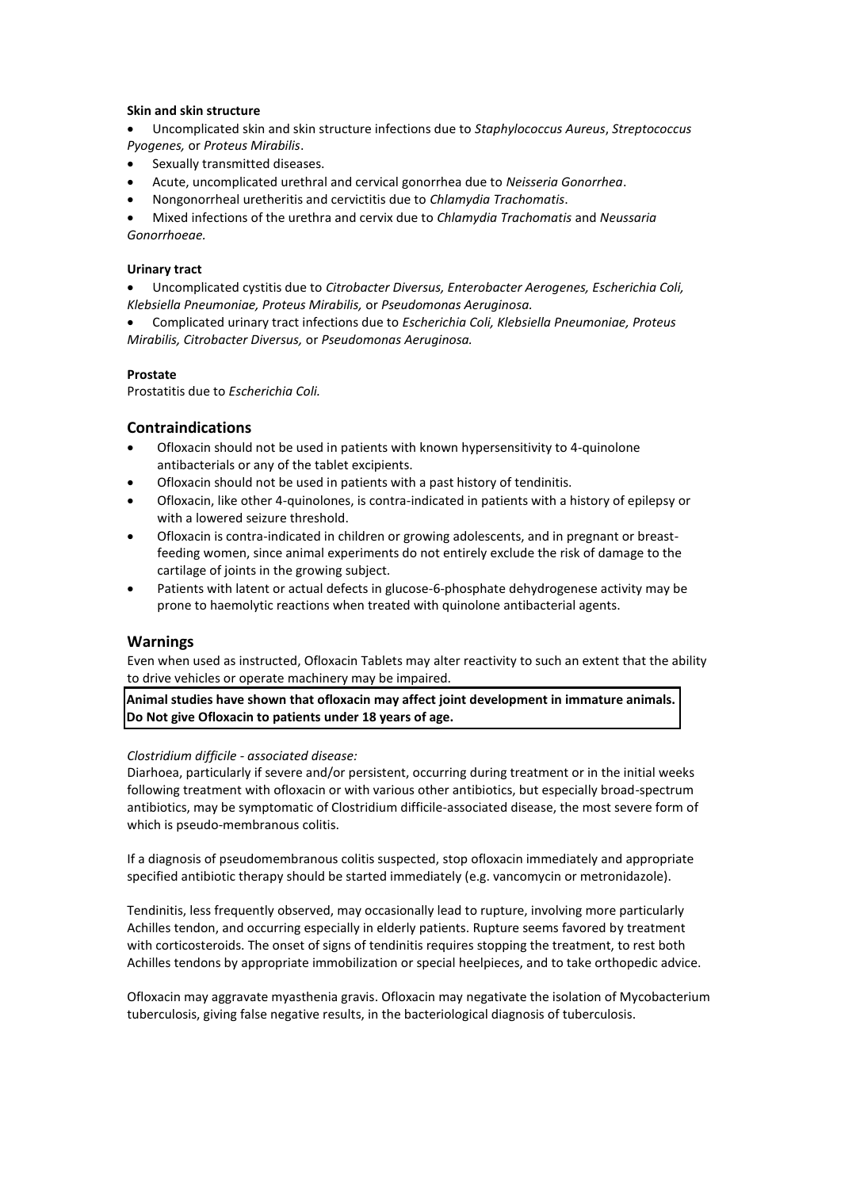## **Skin and skin structure**

- Uncomplicated skin and skin structure infections due to *Staphylococcus Aureus*, *Streptococcus Pyogenes,* or *Proteus Mirabilis*.
- Sexually transmitted diseases.
- Acute, uncomplicated urethral and cervical gonorrhea due to *Neisseria Gonorrhea*.
- Nongonorrheal uretheritis and cervictitis due to *Chlamydia Trachomatis*.

 Mixed infections of the urethra and cervix due to *Chlamydia Trachomatis* and *Neussaria Gonorrhoeae.*

## **Urinary tract**

 Uncomplicated cystitis due to *Citrobacter Diversus, Enterobacter Aerogenes, Escherichia Coli, Klebsiella Pneumoniae, Proteus Mirabilis,* or *Pseudomonas Aeruginosa.*

 Complicated urinary tract infections due to *Escherichia Coli, Klebsiella Pneumoniae, Proteus Mirabilis, Citrobacter Diversus,* or *Pseudomonas Aeruginosa.*

## **Prostate**

Prostatitis due to *Escherichia Coli.*

## **Contraindications**

- Ofloxacin should not be used in patients with known hypersensitivity to 4-quinolone antibacterials or any of the tablet excipients.
- Ofloxacin should not be used in patients with a past history of tendinitis.
- Ofloxacin, like other 4-quinolones, is contra-indicated in patients with a history of epilepsy or with a lowered seizure threshold.
- Ofloxacin is contra-indicated in children or growing adolescents, and in pregnant or breastfeeding women, since animal experiments do not entirely exclude the risk of damage to the cartilage of joints in the growing subject.
- Patients with latent or actual defects in glucose-6-phosphate dehydrogenese activity may be prone to haemolytic reactions when treated with quinolone antibacterial agents.

## **Warnings**

Even when used as instructed, Ofloxacin Tablets may alter reactivity to such an extent that the ability to drive vehicles or operate machinery may be impaired.

**Animal studies have shown that ofloxacin may affect joint development in immature animals. Do Not give Ofloxacin to patients under 18 years of age.**

### *Clostridium difficile - associated disease:*

Diarhoea, particularly if severe and/or persistent, occurring during treatment or in the initial weeks following treatment with ofloxacin or with various other antibiotics, but especially broad-spectrum antibiotics, may be symptomatic of Clostridium difficile-associated disease, the most severe form of which is pseudo-membranous colitis.

If a diagnosis of pseudomembranous colitis suspected, stop ofloxacin immediately and appropriate specified antibiotic therapy should be started immediately (e.g. vancomycin or metronidazole).

Tendinitis, less frequently observed, may occasionally lead to rupture, involving more particularly Achilles tendon, and occurring especially in elderly patients. Rupture seems favored by treatment with corticosteroids. The onset of signs of tendinitis requires stopping the treatment, to rest both Achilles tendons by appropriate immobilization or special heelpieces, and to take orthopedic advice.

Ofloxacin may aggravate myasthenia gravis. Ofloxacin may negativate the isolation of Mycobacterium tuberculosis, giving false negative results, in the bacteriological diagnosis of tuberculosis.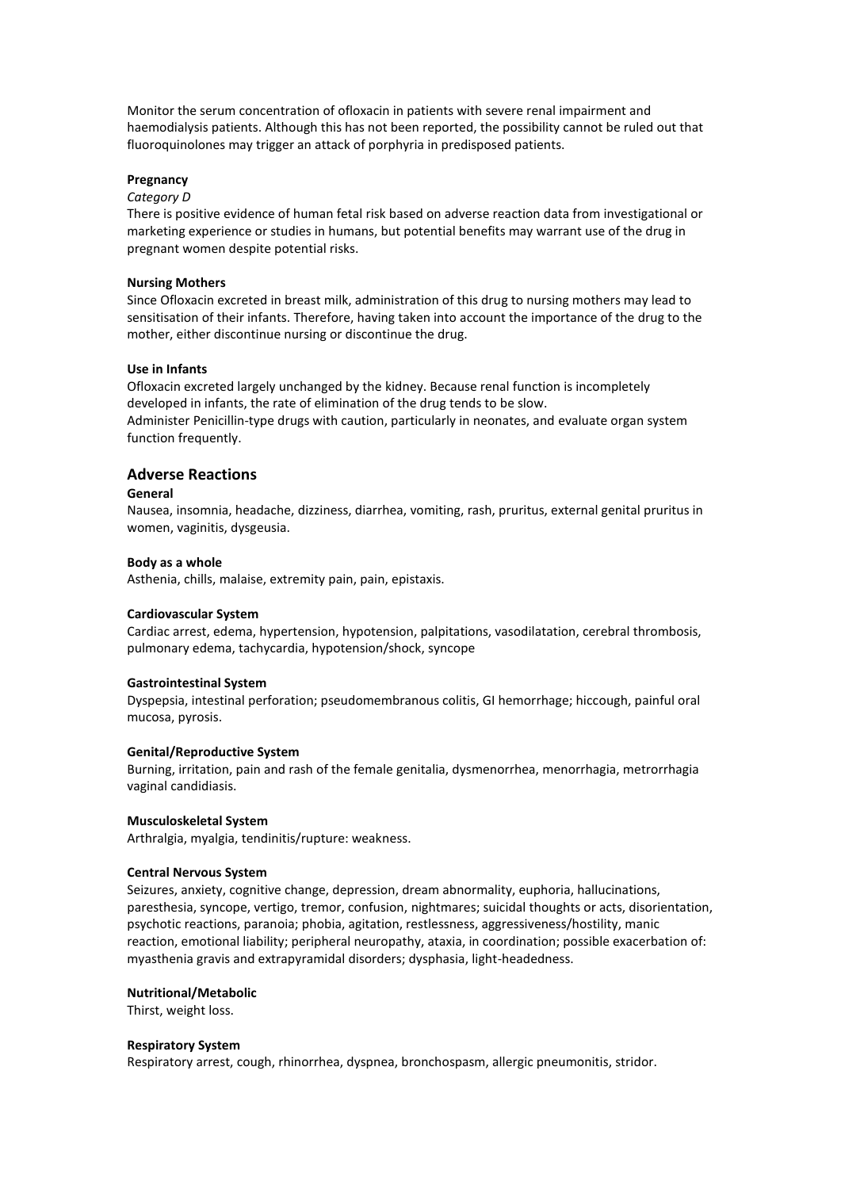Monitor the serum concentration of ofloxacin in patients with severe renal impairment and haemodialysis patients. Although this has not been reported, the possibility cannot be ruled out that fluoroquinolones may trigger an attack of porphyria in predisposed patients.

## **Pregnancy**

### *Category D*

There is positive evidence of human fetal risk based on adverse reaction data from investigational or marketing experience or studies in humans, but potential benefits may warrant use of the drug in pregnant women despite potential risks.

#### **Nursing Mothers**

Since Ofloxacin excreted in breast milk, administration of this drug to nursing mothers may lead to sensitisation of their infants. Therefore, having taken into account the importance of the drug to the mother, either discontinue nursing or discontinue the drug.

#### **Use in Infants**

Ofloxacin excreted largely unchanged by the kidney. Because renal function is incompletely developed in infants, the rate of elimination of the drug tends to be slow.

Administer Penicillin-type drugs with caution, particularly in neonates, and evaluate organ system function frequently.

## **Adverse Reactions**

## **General**

Nausea, insomnia, headache, dizziness, diarrhea, vomiting, rash, pruritus, external genital pruritus in women, vaginitis, dysgeusia.

#### **Body as a whole**

Asthenia, chills, malaise, extremity pain, pain, epistaxis.

#### **Cardiovascular System**

Cardiac arrest, edema, hypertension, hypotension, palpitations, vasodilatation, cerebral thrombosis, pulmonary edema, tachycardia, hypotension/shock, syncope

#### **Gastrointestinal System**

Dyspepsia, intestinal perforation; pseudomembranous colitis, GI hemorrhage; hiccough, painful oral mucosa, pyrosis.

#### **Genital/Reproductive System**

Burning, irritation, pain and rash of the female genitalia, dysmenorrhea, menorrhagia, metrorrhagia vaginal candidiasis.

#### **Musculoskeletal System**

Arthralgia, myalgia, tendinitis/rupture: weakness.

#### **Central Nervous System**

Seizures, anxiety, cognitive change, depression, dream abnormality, euphoria, hallucinations, paresthesia, syncope, vertigo, tremor, confusion, nightmares; suicidal thoughts or acts, disorientation, psychotic reactions, paranoia; phobia, agitation, restlessness, aggressiveness/hostility, manic reaction, emotional liability; peripheral neuropathy, ataxia, in coordination; possible exacerbation of: myasthenia gravis and extrapyramidal disorders; dysphasia, light-headedness.

#### **Nutritional/Metabolic**

Thirst, weight loss.

#### **Respiratory System**

Respiratory arrest, cough, rhinorrhea, dyspnea, bronchospasm, allergic pneumonitis, stridor.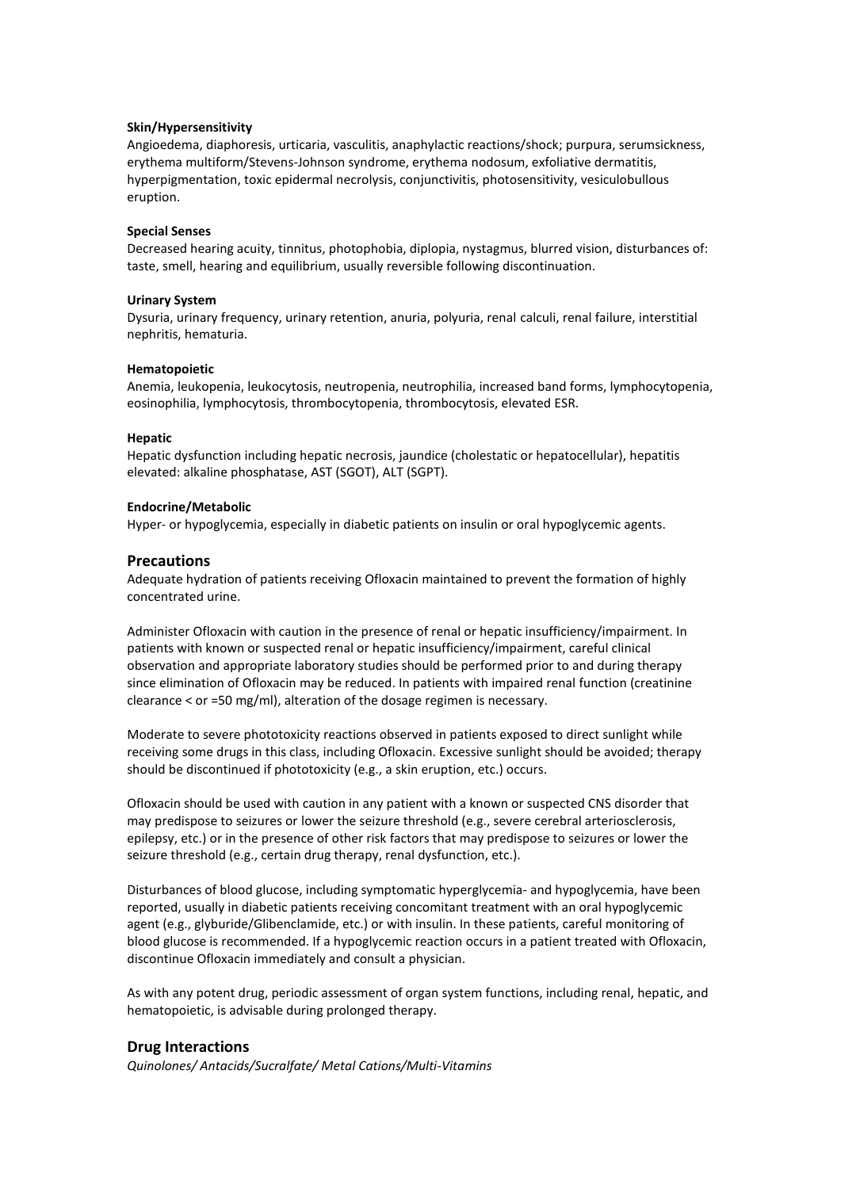## **Skin/Hypersensitivity**

Angioedema, diaphoresis, urticaria, vasculitis, anaphylactic reactions/shock; purpura, serumsickness, erythema multiform/Stevens-Johnson syndrome, erythema nodosum, exfoliative dermatitis, hyperpigmentation, toxic epidermal necrolysis, conjunctivitis, photosensitivity, vesiculobullous eruption.

### **Special Senses**

Decreased hearing acuity, tinnitus, photophobia, diplopia, nystagmus, blurred vision, disturbances of: taste, smell, hearing and equilibrium, usually reversible following discontinuation.

## **Urinary System**

Dysuria, urinary frequency, urinary retention, anuria, polyuria, renal calculi, renal failure, interstitial nephritis, hematuria.

## **Hematopoietic**

Anemia, leukopenia, leukocytosis, neutropenia, neutrophilia, increased band forms, lymphocytopenia, eosinophilia, lymphocytosis, thrombocytopenia, thrombocytosis, elevated ESR.

## **Hepatic**

Hepatic dysfunction including hepatic necrosis, jaundice (cholestatic or hepatocellular), hepatitis elevated: alkaline phosphatase, AST (SGOT), ALT (SGPT).

## **Endocrine/Metabolic**

Hyper- or hypoglycemia, especially in diabetic patients on insulin or oral hypoglycemic agents.

## **Precautions**

Adequate hydration of patients receiving Ofloxacin maintained to prevent the formation of highly concentrated urine.

Administer Ofloxacin with caution in the presence of renal or hepatic insufficiency/impairment. In patients with known or suspected renal or hepatic insufficiency/impairment, careful clinical observation and appropriate laboratory studies should be performed prior to and during therapy since elimination of Ofloxacin may be reduced. In patients with impaired renal function (creatinine clearance < or =50 mg/ml), alteration of the dosage regimen is necessary.

Moderate to severe phototoxicity reactions observed in patients exposed to direct sunlight while receiving some drugs in this class, including Ofloxacin. Excessive sunlight should be avoided; therapy should be discontinued if phototoxicity (e.g., a skin eruption, etc.) occurs.

Ofloxacin should be used with caution in any patient with a known or suspected CNS disorder that may predispose to seizures or lower the seizure threshold (e.g., severe cerebral arteriosclerosis, epilepsy, etc.) or in the presence of other risk factors that may predispose to seizures or lower the seizure threshold (e.g., certain drug therapy, renal dysfunction, etc.).

Disturbances of blood glucose, including symptomatic hyperglycemia- and hypoglycemia, have been reported, usually in diabetic patients receiving concomitant treatment with an oral hypoglycemic agent (e.g., glyburide/Glibenclamide, etc.) or with insulin. In these patients, careful monitoring of blood glucose is recommended. If a hypoglycemic reaction occurs in a patient treated with Ofloxacin, discontinue Ofloxacin immediately and consult a physician.

As with any potent drug, periodic assessment of organ system functions, including renal, hepatic, and hematopoietic, is advisable during prolonged therapy.

## **Drug Interactions**

*Quinolones/ Antacids/Sucralfate/ Metal Cations/Multi-Vitamins*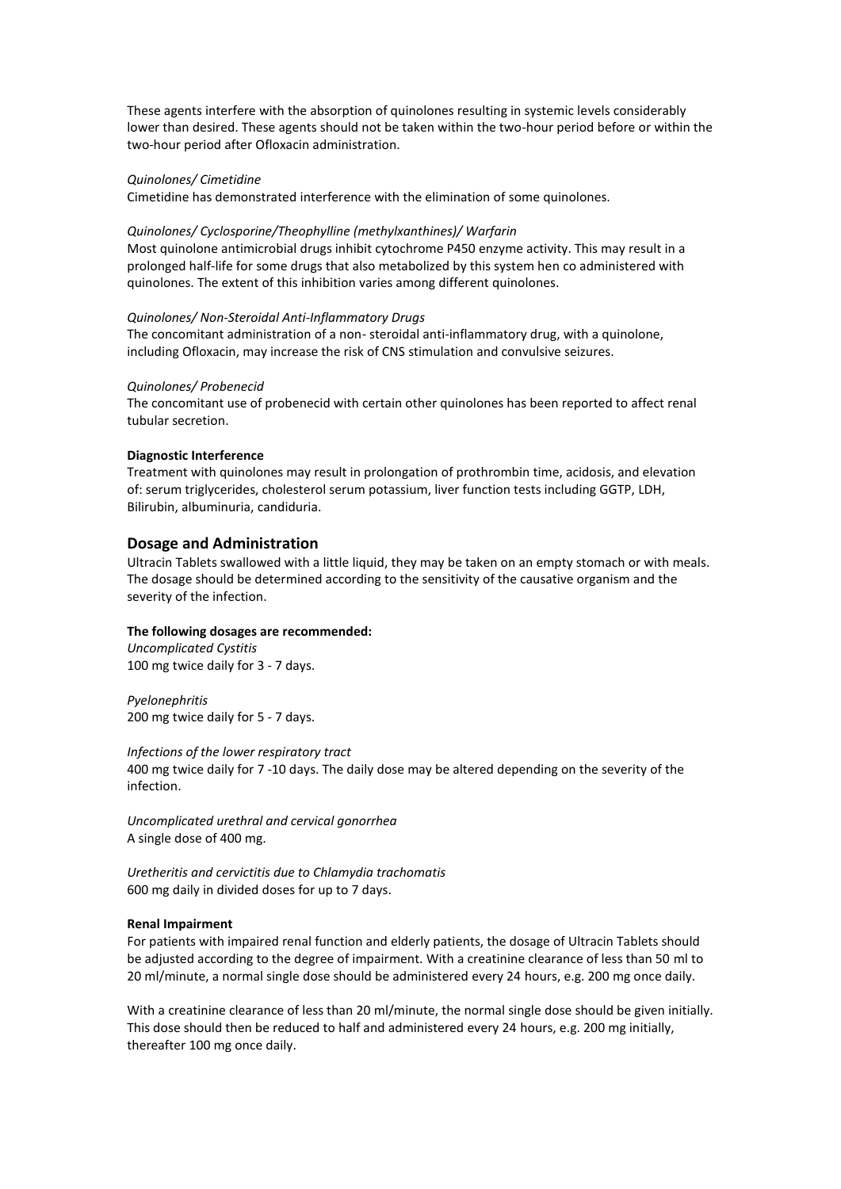These agents interfere with the absorption of quinolones resulting in systemic levels considerably lower than desired. These agents should not be taken within the two-hour period before or within the two-hour period after Ofloxacin administration.

## *Quinolones/ Cimetidine*

Cimetidine has demonstrated interference with the elimination of some quinolones.

## *Quinolones/ Cyclosporine/Theophylline (methylxanthines)/ Warfarin*

Most quinolone antimicrobial drugs inhibit cytochrome P450 enzyme activity. This may result in a prolonged half-life for some drugs that also metabolized by this system hen co administered with quinolones. The extent of this inhibition varies among different quinolones.

## *Quinolones/ Non-Steroidal Anti-Inflammatory Drugs*

The concomitant administration of a non- steroidal anti-inflammatory drug, with a quinolone, including Ofloxacin, may increase the risk of CNS stimulation and convulsive seizures.

## *Quinolones/ Probenecid*

The concomitant use of probenecid with certain other quinolones has been reported to affect renal tubular secretion.

## **Diagnostic Interference**

Treatment with quinolones may result in prolongation of prothrombin time, acidosis, and elevation of: serum triglycerides, cholesterol serum potassium, liver function tests including GGTP, LDH, Bilirubin, albuminuria, candiduria.

## **Dosage and Administration**

Ultracin Tablets swallowed with a little liquid, they may be taken on an empty stomach or with meals. The dosage should be determined according to the sensitivity of the causative organism and the severity of the infection.

## **The following dosages are recommended:**

*Uncomplicated Cystitis* 100 mg twice daily for 3 - 7 days.

*Pyelonephritis* 200 mg twice daily for 5 - 7 days.

*Infections of the lower respiratory tract*

400 mg twice daily for 7 -10 days. The daily dose may be altered depending on the severity of the infection.

*Uncomplicated urethral and cervical gonorrhea* A single dose of 400 mg.

*Uretheritis and cervictitis due to Chlamydia trachomatis* 600 mg daily in divided doses for up to 7 days.

## **Renal Impairment**

For patients with impaired renal function and elderly patients, the dosage of Ultracin Tablets should be adjusted according to the degree of impairment. With a creatinine clearance of less than 50 ml to 20 ml/minute, a normal single dose should be administered every 24 hours, e.g. 200 mg once daily.

With a creatinine clearance of less than 20 ml/minute, the normal single dose should be given initially. This dose should then be reduced to half and administered every 24 hours, e.g. 200 mg initially, thereafter 100 mg once daily.